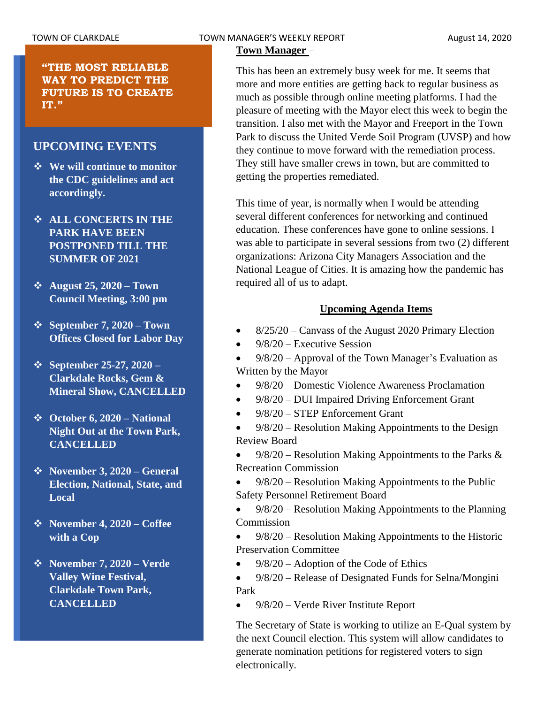**"THE MOST RELIABLE WAY TO PREDICT THE FUTURE IS TO CREATE IT."**

# **UPCOMING EVENTS**

- ❖ **We will continue to monitor the CDC guidelines and act accordingly.**
- ❖ **ALL CONCERTS IN THE PARK HAVE BEEN POSTPONED TILL THE SUMMER OF 2021**
- ❖ **August 25, 2020 – Town Council Meeting, 3:00 pm**
- ❖ **September 7, 2020 – Town Offices Closed for Labor Day**
- ❖ **September 25-27, 2020 – Clarkdale Rocks, Gem & Mineral Show, CANCELLED**
- ❖ **October 6, 2020 – National Night Out at the Town Park, CANCELLED**
- ❖ **November 3, 2020 – General Election, National, State, and Local**
- ❖ **November 4, 2020 – Coffee with a Cop**
- ❖ **November 7, 2020 – Verde Valley Wine Festival, Clarkdale Town Park, CANCELLED**

### TOWN OF CLARKDALE TOWN MANAGER'S WEEKLY REPORT TOWN August 14, 2020

**Town Manager** –

This has been an extremely busy week for me. It seems that more and more entities are getting back to regular business as much as possible through online meeting platforms. I had the pleasure of meeting with the Mayor elect this week to begin the transition. I also met with the Mayor and Freeport in the Town Park to discuss the United Verde Soil Program (UVSP) and how they continue to move forward with the remediation process. They still have smaller crews in town, but are committed to getting the properties remediated.

This time of year, is normally when I would be attending several different conferences for networking and continued education. These conferences have gone to online sessions. I was able to participate in several sessions from two (2) different organizations: Arizona City Managers Association and the National League of Cities. It is amazing how the pandemic has required all of us to adapt.

### **Upcoming Agenda Items**

- 8/25/20 Canvass of the August 2020 Primary Election
- 9/8/20 Executive Session

• 9/8/20 – Approval of the Town Manager's Evaluation as Written by the Mayor

- 9/8/20 Domestic Violence Awareness Proclamation
- 9/8/20 DUI Impaired Driving Enforcement Grant
- 9/8/20 STEP Enforcement Grant
- 9/8/20 Resolution Making Appointments to the Design Review Board

 $9/8/20$  – Resolution Making Appointments to the Parks & Recreation Commission

- $9/8/20$  Resolution Making Appointments to the Public Safety Personnel Retirement Board
- 9/8/20 Resolution Making Appointments to the Planning Commission
- 9/8/20 Resolution Making Appointments to the Historic Preservation Committee
- 9/8/20 Adoption of the Code of Ethics
- 9/8/20 Release of Designated Funds for Selna/Mongini Park
- 9/8/20 Verde River Institute Report

The Secretary of State is working to utilize an E-Qual system by the next Council election. This system will allow candidates to generate nomination petitions for registered voters to sign electronically.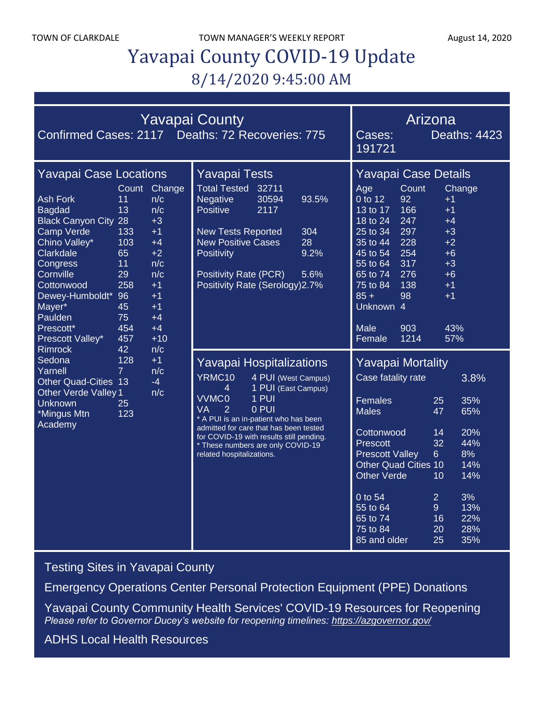TOWN OF CLARKDALE TOWN MANAGER'S WEEKLY REPORT August 14, 2020

# Yavapai County COVID-19 Update 8/14/2020 9:45:00 AM

| <b>Yavapai County</b><br>Confirmed Cases: 2117 Deaths: 72 Recoveries: 775                                                                                                                                                                                                                                                                                                                                                                                                                                                                 |                                                                                                           |                 |                                                                                                                                                                                                                                                                                                                                                    |                                    | Arizona<br><b>Deaths: 4423</b><br>Cases:<br>191721                                                                                                                                                                                                                          |                                                                                            |                                                                                        |
|-------------------------------------------------------------------------------------------------------------------------------------------------------------------------------------------------------------------------------------------------------------------------------------------------------------------------------------------------------------------------------------------------------------------------------------------------------------------------------------------------------------------------------------------|-----------------------------------------------------------------------------------------------------------|-----------------|----------------------------------------------------------------------------------------------------------------------------------------------------------------------------------------------------------------------------------------------------------------------------------------------------------------------------------------------------|------------------------------------|-----------------------------------------------------------------------------------------------------------------------------------------------------------------------------------------------------------------------------------------------------------------------------|--------------------------------------------------------------------------------------------|----------------------------------------------------------------------------------------|
| <b>Yavapai Case Locations</b><br><b>Ash Fork</b><br>11<br>13<br><b>Bagdad</b><br><b>Black Canyon City 28</b><br><b>Camp Verde</b><br>133<br>Chino Valley*<br>103<br>Clarkdale<br>65<br>11<br>Congress<br>Cornville<br>29<br>Cottonwood<br>258<br>Dewey-Humboldt* 96<br>Mayer*<br>45<br>75<br>Paulden<br>Prescott*<br>454<br>457<br>Prescott Valley*<br>42<br><b>Rimrock</b><br>Sedona<br>128<br>$\overline{7}$<br>Yarnell<br><b>Other Quad-Cities 13</b><br><b>Other Verde Valley 1</b><br>Unknown<br>25<br>*Mingus Mtn<br>123<br>Academy | Count<br>n/c<br>n/c<br>$+3$<br>$+1$<br>$+4$<br>$+2$<br>n/c<br>n/c<br>$+1$<br>$+1$<br>$+1$<br>$+4$<br>$+4$ | Change<br>$+10$ | <b>Yavapai Tests</b><br><b>Total Tested</b><br>32711<br><b>Negative</b><br>30594<br>Positive<br>2117<br><b>New Tests Reported</b><br><b>New Positive Cases</b><br>Positivity<br><b>Positivity Rate (PCR)</b><br>Positivity Rate (Serology) 2.7%                                                                                                    | 93.5%<br>304<br>28<br>9.2%<br>5.6% | Yavapai Case Details<br>Count<br>Age<br>0 to 12<br>92<br>166<br>13 to 17<br>247<br>18 to 24<br>297<br>25 to 34<br>35 to 44<br>228<br>45 to 54<br>254<br>317<br>55 to 64<br>276<br>65 to 74<br>138<br>75 to 84<br>$85 +$<br>98<br>Unknown 4<br>Male<br>903<br>Female<br>1214 | $+1$<br>$+1$<br>$+4$<br>$+3$<br>$+2$<br>$+6$<br>$+3$<br>$+6$<br>$+1$<br>$+1$<br>43%<br>57% | Change                                                                                 |
|                                                                                                                                                                                                                                                                                                                                                                                                                                                                                                                                           | n/c<br>$+1$<br>n/c<br>$-4$<br>n/c                                                                         |                 | Yavapai Hospitalizations<br>YRMC10<br>4 PUI (West Campus)<br>1 PUI (East Campus)<br>4<br>$1$ PUI<br><b>VVMC0</b><br>0 PUI<br>VA<br>$\overline{2}$<br>* A PUI is an in-patient who has been<br>admitted for care that has been tested<br>for COVID-19 with results still pending.<br>* These numbers are only COVID-19<br>related hospitalizations. |                                    | <b>Yavapai Mortality</b><br>Case fatality rate<br>Females<br><b>Males</b><br>Cottonwood<br>Prescott<br><b>Prescott Valley</b><br><b>Other Quad Cities 10</b><br>Other Verde<br>0 to 54<br>55 to 64<br>65 to 74<br>75 to 84<br>85 and older                                  | 25<br>47<br>14<br>32<br>6 <sup>1</sup><br>10<br>$\overline{2}$<br>9<br>16<br>20<br>25      | 3.8%<br>35%<br>65%<br>20%<br>44%<br>8%<br>14%<br>14%<br>3%<br>13%<br>22%<br>28%<br>35% |

[Testing Sites in Yavapai County](https://www.yavapai.us/Portals/39/COVID-19/TestingSitesinYavapaiCounty.pdf)

[Emergency Operations Center Personal Protection Equipment \(PPE\) Donations](http://www.yavapai.us/Portals/39/PPE%20Donations.pdf)

[Yavapai County Community Health Services' COVID-19 Resources for Reopening](https://www.yavapai.us/chs/COVID-19) *Please refer to Governor Ducey's website for reopening timelines: <https://azgovernor.gov/>*

[ADHS Local Health Resources](https://www.azdhs.gov/preparedness/epidemiology-disease-control/infectious-disease-epidemiology/index.php#novel-coronavirus-local-health-resources)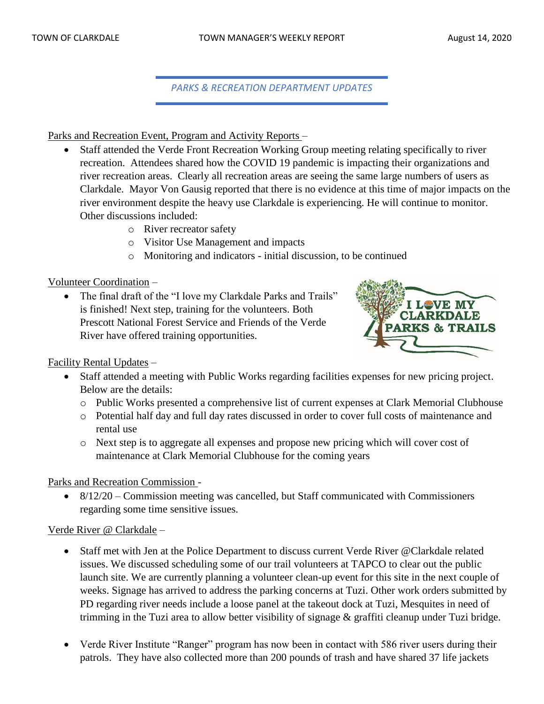*PARKS & RECREATION DEPARTMENT UPDATES*

Parks and Recreation Event, Program and Activity Reports –

- Staff attended the Verde Front Recreation Working Group meeting relating specifically to river recreation. Attendees shared how the COVID 19 pandemic is impacting their organizations and river recreation areas. Clearly all recreation areas are seeing the same large numbers of users as Clarkdale. Mayor Von Gausig reported that there is no evidence at this time of major impacts on the river environment despite the heavy use Clarkdale is experiencing. He will continue to monitor. Other discussions included:
	- o River recreator safety
	- o Visitor Use Management and impacts
	- o Monitoring and indicators initial discussion, to be continued

Volunteer Coordination –

• The final draft of the "I love my Clarkdale Parks and Trails" is finished! Next step, training for the volunteers. Both Prescott National Forest Service and Friends of the Verde River have offered training opportunities.



Facility Rental Updates –

- Staff attended a meeting with Public Works regarding facilities expenses for new pricing project. Below are the details:
	- o Public Works presented a comprehensive list of current expenses at Clark Memorial Clubhouse
	- o Potential half day and full day rates discussed in order to cover full costs of maintenance and rental use
	- o Next step is to aggregate all expenses and propose new pricing which will cover cost of maintenance at Clark Memorial Clubhouse for the coming years

Parks and Recreation Commission -

• 8/12/20 – Commission meeting was cancelled, but Staff communicated with Commissioners regarding some time sensitive issues.

# Verde River @ Clarkdale –

- Staff met with Jen at the Police Department to discuss current Verde River @Clarkdale related issues. We discussed scheduling some of our trail volunteers at TAPCO to clear out the public launch site. We are currently planning a volunteer clean-up event for this site in the next couple of weeks. Signage has arrived to address the parking concerns at Tuzi. Other work orders submitted by PD regarding river needs include a loose panel at the takeout dock at Tuzi, Mesquites in need of trimming in the Tuzi area to allow better visibility of signage & graffiti cleanup under Tuzi bridge.
- Verde River Institute "Ranger" program has now been in contact with 586 river users during their patrols. They have also collected more than 200 pounds of trash and have shared 37 life jackets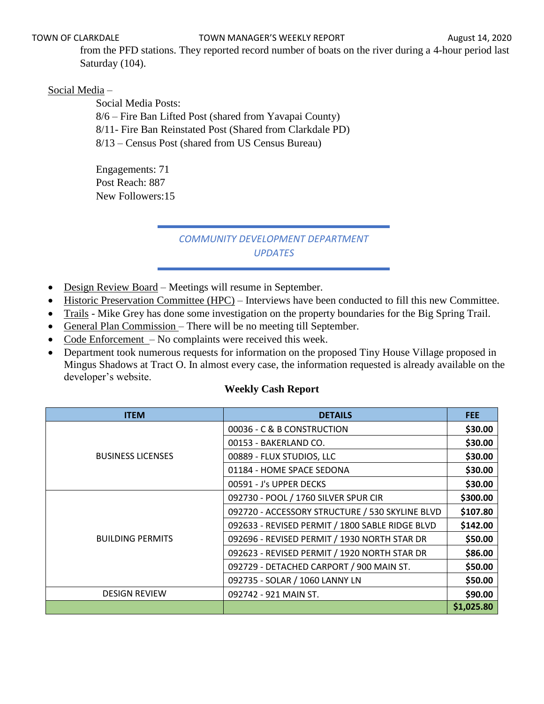from the PFD stations. They reported record number of boats on the river during a 4-hour period last Saturday (104).

# Social Media –

Social Media Posts: 8/6 – Fire Ban Lifted Post (shared from Yavapai County) 8/11- Fire Ban Reinstated Post (Shared from Clarkdale PD) 8/13 – Census Post (shared from US Census Bureau)

Engagements: 71 Post Reach: 887 New Followers:15

# *COMMUNITY DEVELOPMENT DEPARTMENT UPDATES*

- Design Review Board Meetings will resume in September.
- Historic Preservation Committee (HPC) Interviews have been conducted to fill this new Committee.
- Trails Mike Grey has done some investigation on the property boundaries for the Big Spring Trail.
- General Plan Commission There will be no meeting till September.
- Code Enforcement No complaints were received this week.
- Department took numerous requests for information on the proposed Tiny House Village proposed in Mingus Shadows at Tract O. In almost every case, the information requested is already available on the developer's website.

### **Weekly Cash Report**

| <b>ITEM</b>              | <b>DETAILS</b>                                  | <b>FEE</b> |
|--------------------------|-------------------------------------------------|------------|
|                          | 00036 - C & B CONSTRUCTION                      | \$30.00    |
|                          | 00153 - BAKERLAND CO.                           | \$30.00    |
| <b>BUSINESS LICENSES</b> | 00889 - FLUX STUDIOS, LLC                       | \$30.00    |
|                          | 01184 - HOME SPACE SEDONA                       | \$30.00    |
|                          | 00591 - J's UPPER DECKS                         | \$30.00    |
|                          | 092730 - POOL / 1760 SILVER SPUR CIR            | \$300.00   |
|                          | 092720 - ACCESSORY STRUCTURE / 530 SKYLINE BLVD | \$107.80   |
|                          | 092633 - REVISED PERMIT / 1800 SABLE RIDGE BLVD | \$142.00   |
| <b>BUILDING PERMITS</b>  | 092696 - REVISED PERMIT / 1930 NORTH STAR DR    | \$50.00    |
|                          | 092623 - REVISED PERMIT / 1920 NORTH STAR DR    | \$86.00    |
|                          | 092729 - DETACHED CARPORT / 900 MAIN ST.        | \$50.00    |
|                          | 092735 - SOLAR / 1060 LANNY LN                  | \$50.00    |
| <b>DESIGN REVIEW</b>     | 092742 - 921 MAIN ST.                           | \$90.00    |
|                          |                                                 | \$1,025.80 |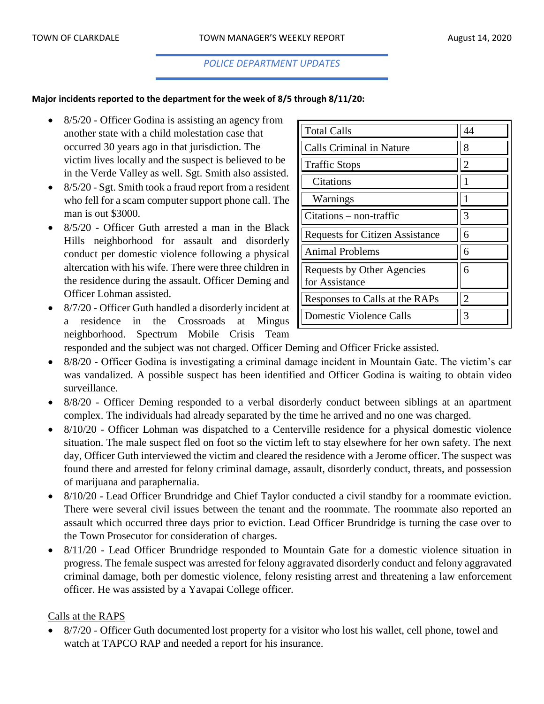# *POLICE DEPARTMENT UPDATES*

#### **Major incidents reported to the department for the week of 8/5 through 8/11/20:**

- 8/5/20 Officer Godina is assisting an agency from another state with a child molestation case that occurred 30 years ago in that jurisdiction. The victim lives locally and the suspect is believed to be in the Verde Valley as well. Sgt. Smith also assisted.
- 8/5/20 Sgt. Smith took a fraud report from a resident who fell for a scam computer support phone call. The man is out \$3000.
- 8/5/20 Officer Guth arrested a man in the Black Hills neighborhood for assault and disorderly conduct per domestic violence following a physical altercation with his wife. There were three children in the residence during the assault. Officer Deming and Officer Lohman assisted.
- 8/7/20 Officer Guth handled a disorderly incident at a residence in the Crossroads at Mingus neighborhood. Spectrum Mobile Crisis Team

| <b>Total Calls</b>                           | 44             |
|----------------------------------------------|----------------|
| <b>Calls Criminal in Nature</b>              | 8              |
| <b>Traffic Stops</b>                         | $\overline{c}$ |
| Citations                                    |                |
| Warnings                                     |                |
| $Citations - non-traffic$                    | 3              |
| <b>Requests for Citizen Assistance</b>       | 6              |
| <b>Animal Problems</b>                       | 6              |
| Requests by Other Agencies<br>for Assistance | 6              |
| Responses to Calls at the RAPs               | $\mathfrak{D}$ |
| Domestic Violence Calls                      | 3              |

responded and the subject was not charged. Officer Deming and Officer Fricke assisted.

- 8/8/20 Officer Godina is investigating a criminal damage incident in Mountain Gate. The victim's car was vandalized. A possible suspect has been identified and Officer Godina is waiting to obtain video surveillance.
- 8/8/20 Officer Deming responded to a verbal disorderly conduct between siblings at an apartment complex. The individuals had already separated by the time he arrived and no one was charged.
- 8/10/20 Officer Lohman was dispatched to a Centerville residence for a physical domestic violence situation. The male suspect fled on foot so the victim left to stay elsewhere for her own safety. The next day, Officer Guth interviewed the victim and cleared the residence with a Jerome officer. The suspect was found there and arrested for felony criminal damage, assault, disorderly conduct, threats, and possession of marijuana and paraphernalia.
- 8/10/20 Lead Officer Brundridge and Chief Taylor conducted a civil standby for a roommate eviction. There were several civil issues between the tenant and the roommate. The roommate also reported an assault which occurred three days prior to eviction. Lead Officer Brundridge is turning the case over to the Town Prosecutor for consideration of charges.
- 8/11/20 Lead Officer Brundridge responded to Mountain Gate for a domestic violence situation in progress. The female suspect was arrested for felony aggravated disorderly conduct and felony aggravated criminal damage, both per domestic violence, felony resisting arrest and threatening a law enforcement officer. He was assisted by a Yavapai College officer.

# Calls at the RAPS

• 8/7/20 - Officer Guth documented lost property for a visitor who lost his wallet, cell phone, towel and watch at TAPCO RAP and needed a report for his insurance.